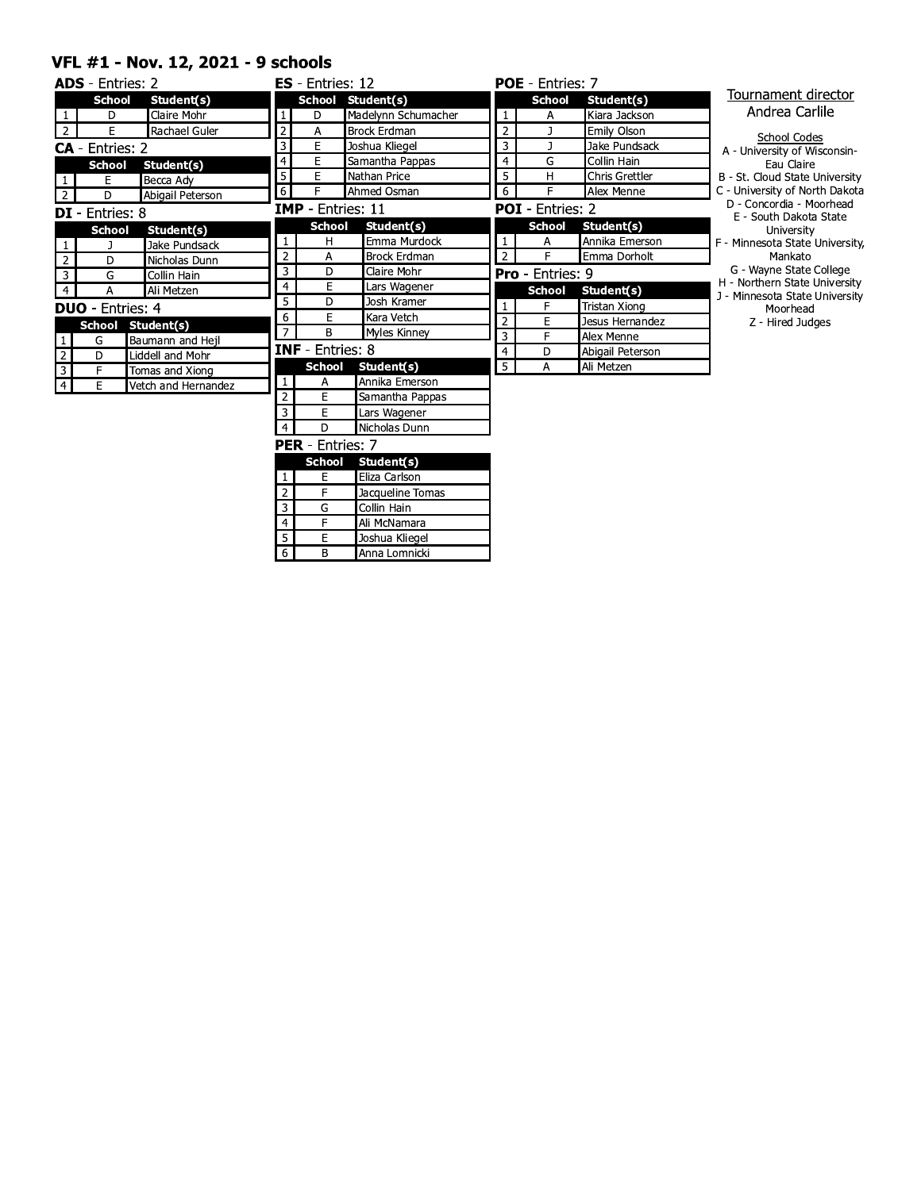#### VFL #1 - Nov. 12, 2021 - 9 schools

|                         | <b>ADS</b> - Entries: 2 |                     |                 | $ES - Entries: 12$       |                     |                | <b>POE</b> - Entries: 7 |                       |                                                                 |
|-------------------------|-------------------------|---------------------|-----------------|--------------------------|---------------------|----------------|-------------------------|-----------------------|-----------------------------------------------------------------|
|                         | <b>School</b>           | Student(s)          |                 |                          | School Student(s)   |                | <b>School</b>           | Student(s)            | Tournament director                                             |
| $\mathbf{1}$            | D                       | Claire Mohr         | $\mathbf{1}$    | D                        | Madelynn Schumacher | $\mathbf{1}$   | А                       | Kiara Jackson         | Andrea Carlile                                                  |
| $\overline{2}$          | E                       | Rachael Guler       | $\mathbf 2$     | Α                        | <b>Brock Erdman</b> | $\overline{2}$ | -1                      | Emily Olson           | <b>School Codes</b>                                             |
|                         | <b>CA</b> - Entries: 2  |                     | 3               | E                        | Joshua Kliegel      | $\overline{3}$ | ı                       | Jake Pundsack         | A - University of Wisconsin-                                    |
|                         | <b>School</b>           | Student(s)          | $\overline{4}$  | E                        | Samantha Pappas     | $\overline{4}$ | G                       | Collin Hain           | Eau Claire                                                      |
| $\mathbf{1}$            | E                       | Becca Adv           | $\overline{5}$  | E                        | Nathan Price        | 5              | н                       | <b>Chris Grettler</b> | B - St. Cloud State University                                  |
| $2^{\circ}$             | D                       | Abigail Peterson    | $\overline{6}$  | F                        | Ahmed Osman         | 6              | E                       | Alex Menne            | C - University of North Dakota                                  |
|                         | <b>DI</b> - Entries: 8  |                     |                 | <b>IMP</b> - Entries: 11 |                     |                | <b>POI</b> - Entries: 2 |                       | D - Concordia - Moorhead<br>E - South Dakota State              |
|                         | <b>School</b>           | Student(s)          |                 | <b>School</b>            | Student(s)          |                | <b>School</b>           | Student(s)            | University                                                      |
| $\mathbf{1}$            |                         | Jake Pundsack       |                 | H                        | Emma Murdock        | $\mathbf{1}$   | Α                       | Annika Emerson        | F - Minnesota State University,                                 |
| $\overline{2}$          | D                       | Nicholas Dunn       | $\overline{2}$  | A                        | <b>Brock Erdman</b> | $\overline{2}$ | E                       | Emma Dorholt          | Mankato                                                         |
| $\overline{3}$          | G                       | Collin Hain         | 3               | D                        | Claire Mohr         |                | <b>Pro</b> - Entries: 9 |                       | G - Wayne State College                                         |
| $\overline{4}$          | A                       | Ali Metzen          | 4               | E                        | Lars Wagener        |                | <b>School</b>           | Student(s)            | H - Northern State University<br>J - Minnesota State University |
|                         | <b>DUO</b> - Entries: 4 |                     | 5               | D                        | Josh Kramer         | $\mathbf{1}$   | F                       | <b>Tristan Xiong</b>  | Moorhead                                                        |
|                         |                         | School Student(s)   | 6               | E                        | Kara Vetch          | $\overline{2}$ | E                       | Jesus Hernandez       | Z - Hired Judges                                                |
| $\mathbf{1}$            | G                       | Baumann and Hejl    | $\overline{7}$  | B                        | <b>Myles Kinney</b> | 3              | F                       | Alex Menne            |                                                                 |
| $\overline{2}$          | D                       | Liddell and Mohr    |                 | <b>INF</b> - Entries: 8  |                     | $\overline{4}$ | D                       | Abigail Peterson      |                                                                 |
| $\overline{\mathbf{3}}$ | F                       | Tomas and Xiong     |                 | <b>School</b>            | Student(s)          | 5              | А                       | Ali Metzen            |                                                                 |
| $\overline{4}$          | E                       | Vetch and Hernandez |                 | Α                        | Annika Emerson      |                |                         |                       |                                                                 |
|                         |                         |                     | $\overline{2}$  | E                        | Samantha Pappas     |                |                         |                       |                                                                 |
|                         |                         |                     | 3               | E                        | Lars Wagener        |                |                         |                       |                                                                 |
|                         |                         |                     | $\overline{4}$  | D                        | Nicholas Dunn       |                |                         |                       |                                                                 |
|                         |                         |                     |                 | <b>PER</b> - Entries: 7  |                     |                |                         |                       |                                                                 |
|                         |                         |                     |                 | <b>School</b>            | Student(s)          |                |                         |                       |                                                                 |
|                         |                         |                     | 1               | E                        | Eliza Carlson       |                |                         |                       |                                                                 |
|                         |                         |                     | $\overline{2}$  | F                        | Jacqueline Tomas    |                |                         |                       |                                                                 |
|                         |                         |                     | 3               | G                        | Collin Hain         |                |                         |                       |                                                                 |
|                         |                         |                     | $\overline{4}$  | F                        | Ali McNamara        |                |                         |                       |                                                                 |
|                         |                         |                     | 5               | E                        | Joshua Kliegel      |                |                         |                       |                                                                 |
|                         |                         |                     | $6\overline{6}$ | В                        | Anna Lomnicki       |                |                         |                       |                                                                 |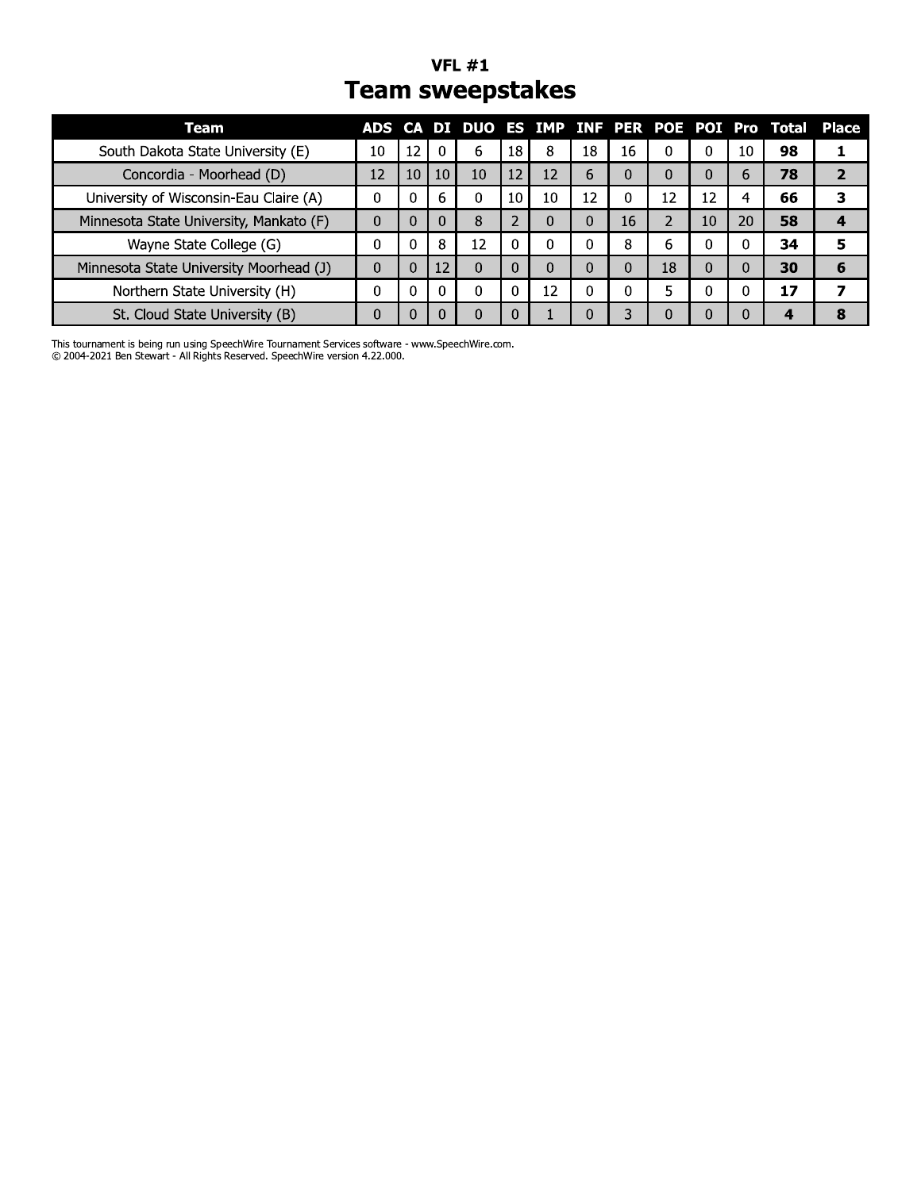#### **VFL #1 Team sweepstakes**

| Team                                    |          |    |     |    |    |    |    |    |    |    |    | ADS CA DI DUO ES IMP INF PER POE POI Pro Total Place |   |
|-----------------------------------------|----------|----|-----|----|----|----|----|----|----|----|----|------------------------------------------------------|---|
| South Dakota State University (E)       | 10       | 12 | - 0 | 6  | 18 | 8  | 18 | 16 | 0  | 0  | 10 | 98                                                   |   |
| Concordia - Moorhead (D)                | 12       | 10 | 10  | 10 | 12 | 12 | b  | 0  | 0  | 0  | 6  | 78                                                   |   |
| University of Wisconsin-Eau Claire (A)  | 0        |    | 6   |    | 10 | 10 | 12 | 0  | 12 | 12 |    | 66                                                   |   |
| Minnesota State University, Mankato (F) | $\Omega$ |    |     | 8  | ∠  | 0  |    | 16 |    | 10 | 20 | 58                                                   |   |
| Wayne State College (G)                 |          |    | 8   | 12 |    | O  |    | 8  | 6  | 0  |    | 34                                                   |   |
| Minnesota State University Moorhead (J) | $\Omega$ | O  | 12  |    |    | 0  |    |    | 18 | 0  |    | 30                                                   | 6 |
| Northern State University (H)           |          |    |     |    |    | 12 |    |    | 5  | 0  |    | 17                                                   |   |
| St. Cloud State University (B)          |          |    |     |    |    |    |    |    | 0  | 0  |    |                                                      |   |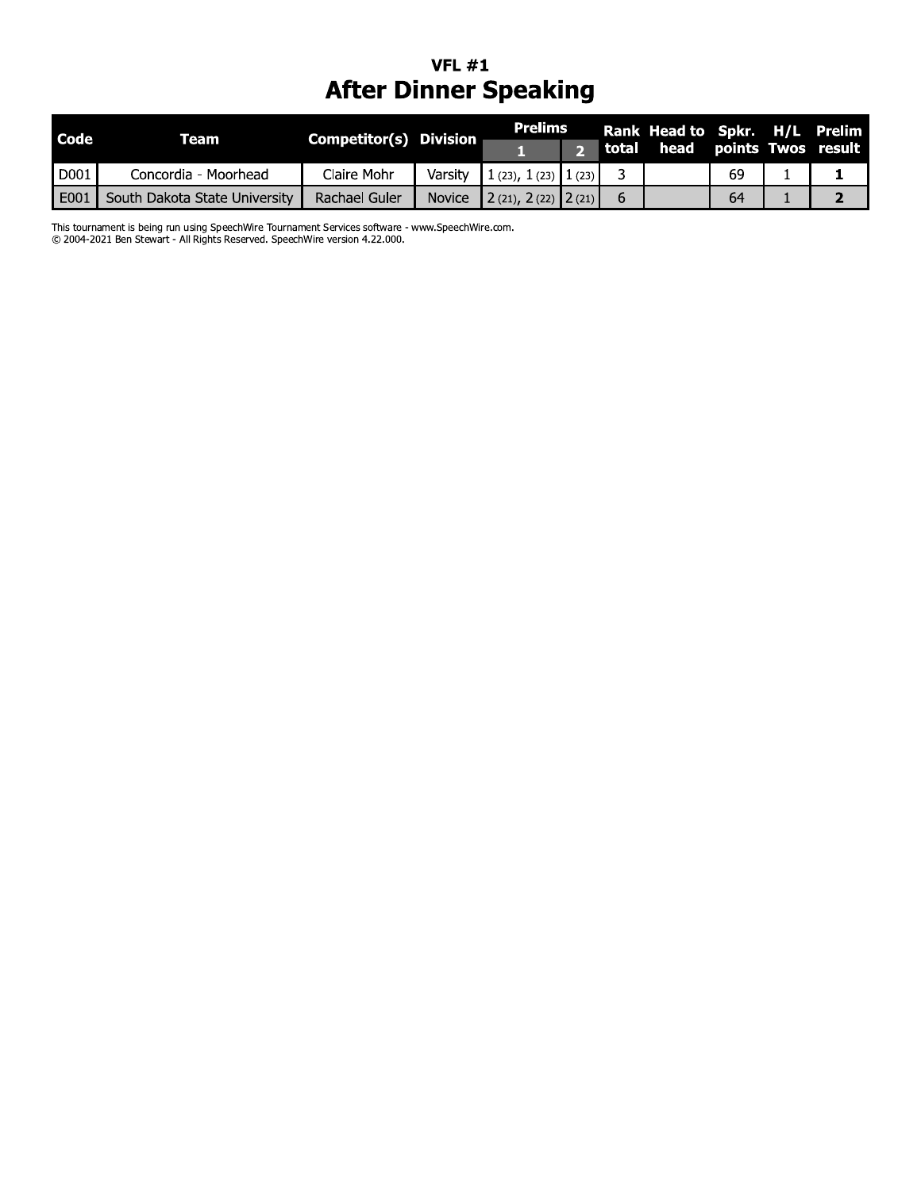### VFL  $\#1$ After Dinner Speaking

| Rank Head to Spkr. H/L Prelim<br>points Twos result |
|-----------------------------------------------------|
|                                                     |
| 2                                                   |
|                                                     |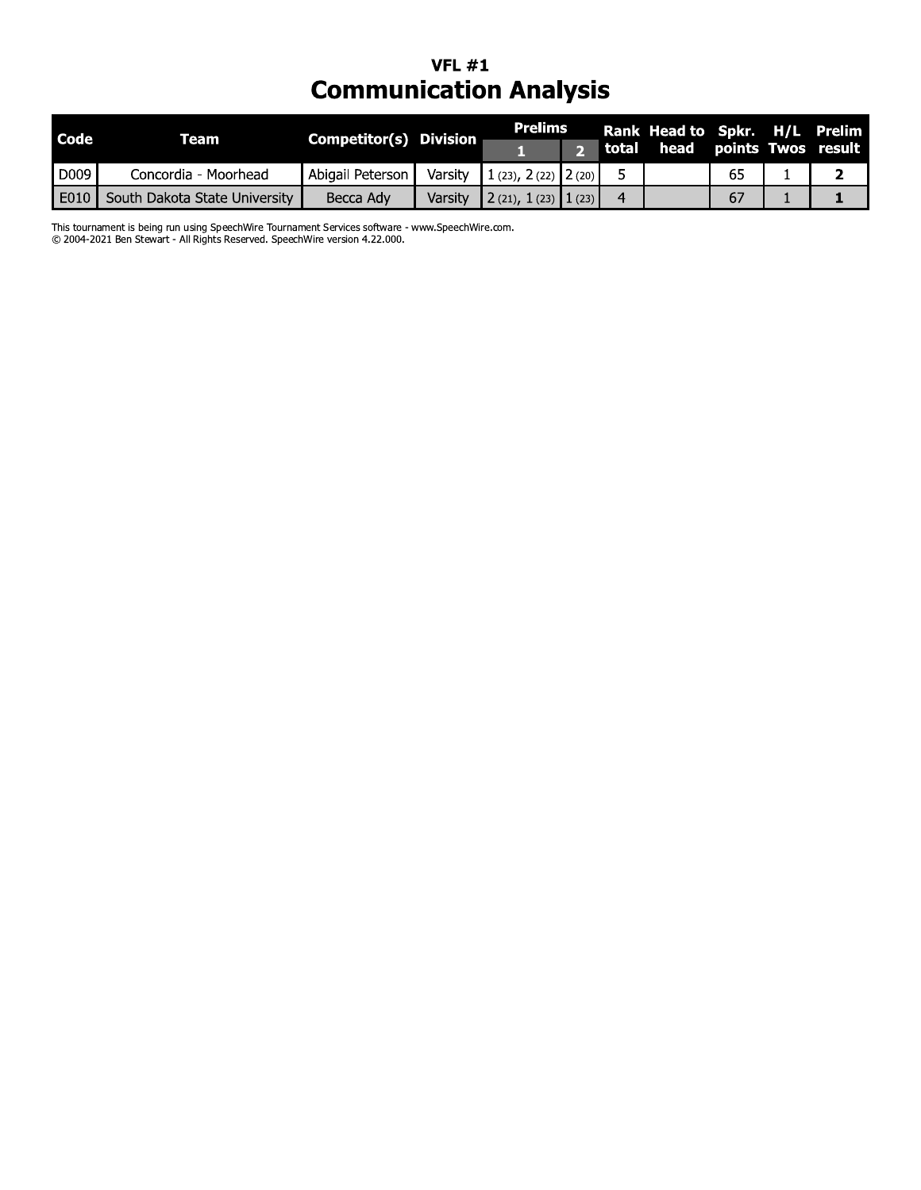### VFL  $#1$ **Communication Analysis**

| <b>Code</b> | Team                          | Competitor(s) Division |         | Prelims                |   | Rank Head to Spkr. H/L Prelim |    |  |
|-------------|-------------------------------|------------------------|---------|------------------------|---|-------------------------------|----|--|
|             |                               |                        |         |                        |   | total head points Twos result |    |  |
| D009        | Concordia - Moorhead          | Abigail Peterson       | Varsity | $1(23), 2(22)$ $2(20)$ |   |                               | 65 |  |
| E010        | South Dakota State University | Becca Adv              | Varsity | $2(21), 1(23)$ $1(23)$ | 4 |                               | 67 |  |

This tournament is being run using SpeechWire Tournament Services software - www.SpeechWire.com.<br>© 2004-2021 Ben Stewart - All Rights Reserved. SpeechWire version 4.22.000.

J.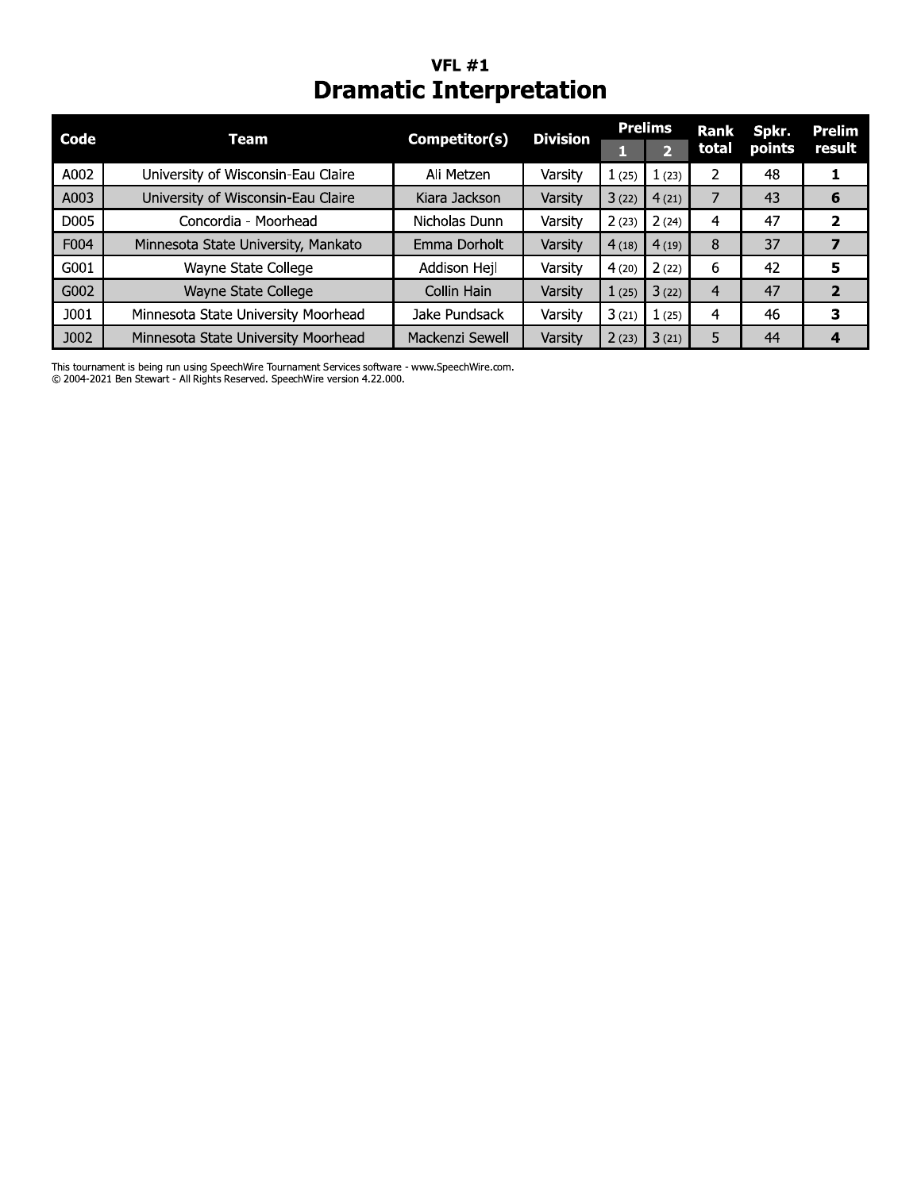# **VFL #1**<br>Dramatic Interpretation

| Code | Team                                | Competitor(s)   | <b>Division</b> |       | <b>Prelims</b> | Rank  | Spkr.  | Prelim |
|------|-------------------------------------|-----------------|-----------------|-------|----------------|-------|--------|--------|
|      |                                     |                 |                 |       | 2              | total | points | result |
| A002 | University of Wisconsin-Eau Claire  | Ali Metzen      | Varsity         | 1(25) | 1(23)          |       | 48     |        |
| A003 | University of Wisconsin-Eau Claire  | Kiara Jackson   | Varsity         | 3(22) | 4(21)          |       | 43     | 6      |
| D005 | Concordia - Moorhead                | Nicholas Dunn   | Varsity         | 2(23) | 2(24)          | 4     | 47     |        |
| F004 | Minnesota State University, Mankato | Emma Dorholt    | Varsity         | 4(18) | 4(19)          | 8     | 37     |        |
| G001 | Wayne State College                 | Addison Hejl    | Varsity         | 4(20) | 2(22)          | 6     | 42     | 5      |
| G002 | Wayne State College                 | Collin Hain     | Varsity         | 1(25) | 3(22)          | 4     | 47     | 2      |
| J001 | Minnesota State University Moorhead | Jake Pundsack   | Varsity         | 3(21) | 1(25)          | 4     | 46     | 3      |
| J002 | Minnesota State University Moorhead | Mackenzi Sewell | Varsity         | 2(23) | 3(21)          |       | 44     | 4      |

This tournament is being run using SpeechWire Tournament Services software - www.SpeechWire.com. © 2004-2021 Ben Stewart - All Rights Reserved. SpeechWire version 4.22.000.

 $\mathbb{R}^2$ 

ı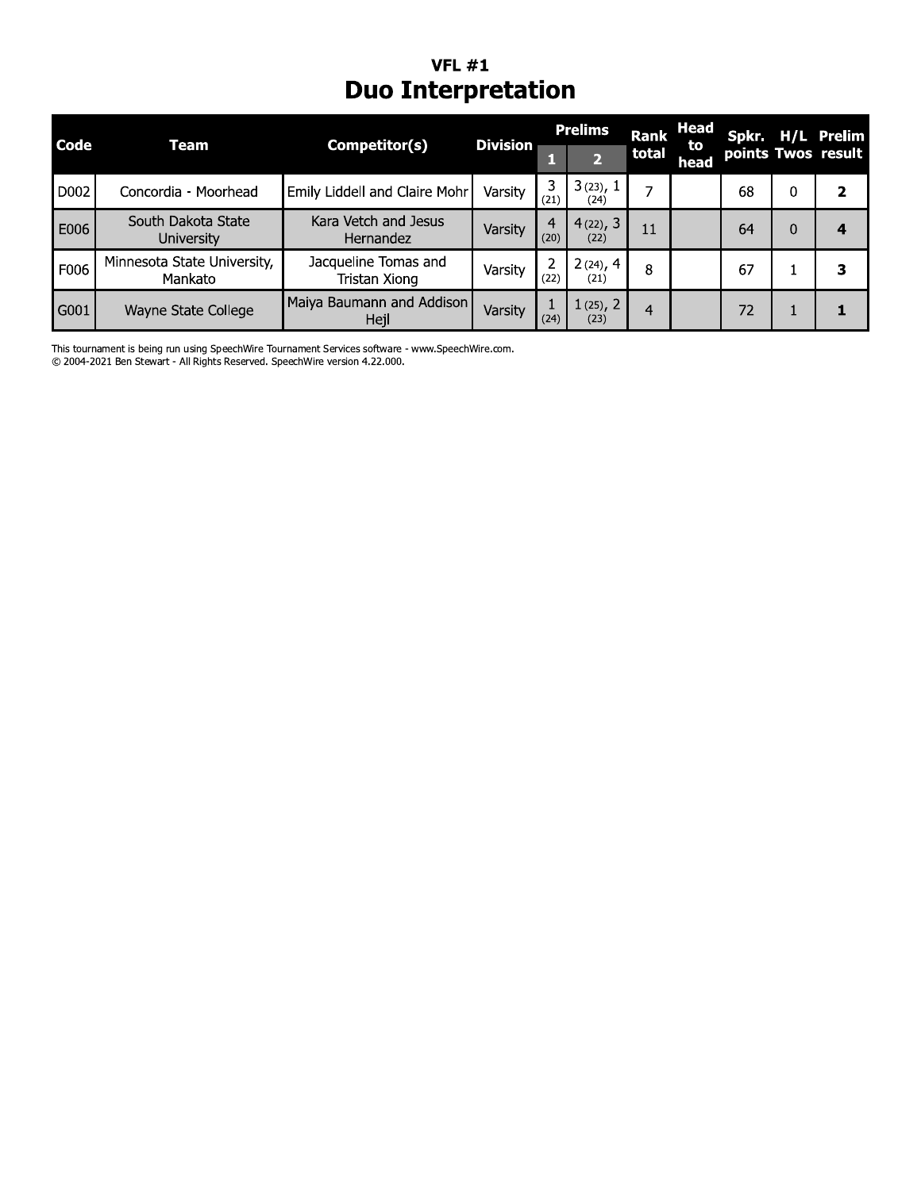# **VFL #1**<br>Duo Interpretation

| Code | <b>Team</b>                             | Competitor(s)                         | <b>Division</b> |           | <b>Prelims</b>      | <b>Rank</b> | Head<br>to |    | Spkr. H/L Prelim   |
|------|-----------------------------------------|---------------------------------------|-----------------|-----------|---------------------|-------------|------------|----|--------------------|
|      |                                         |                                       |                 |           |                     | total       | head       |    | points Twos result |
| D002 | Concordia - Moorhead                    | Emily Liddell and Claire Mohr         | Varsity         | (21)      | 3(23), 1<br>(24)    | ⇁           |            | 68 |                    |
| E006 | South Dakota State<br><b>University</b> | Kara Vetch and Jesus<br>Hernandez     | Varsity         | 4<br>(20) | 4(22), 3<br>(22)    | 11          |            | 64 |                    |
| F006 | Minnesota State University,<br>Mankato  | Jacqueline Tomas and<br>Tristan Xiong | Varsity         | (22)      | $2(24)$ , 4<br>(21) | 8           |            | 67 |                    |
| G001 | Wayne State College                     | Maiya Baumann and Addison<br>Hejl     | Varsity         | (24)      | $1(25)$ , 2<br>(23) | 4           |            | 72 |                    |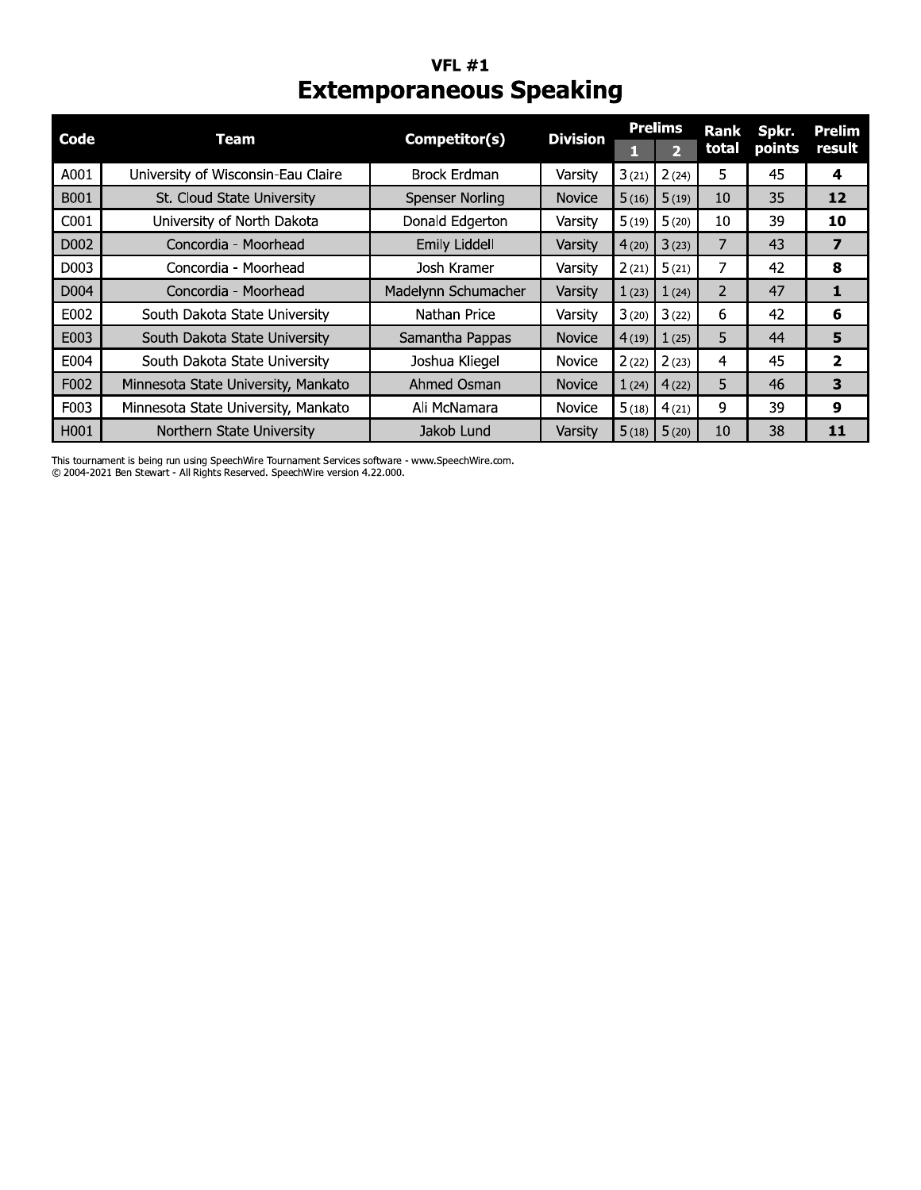#### **VFL #1 Extemporaneous Speaking**

| Code | Team                                | Competitor(s)          | <b>Division</b> |       | <b>Prelims</b> | Rank  | Spkr.  | <b>Prelim</b>  |
|------|-------------------------------------|------------------------|-----------------|-------|----------------|-------|--------|----------------|
|      |                                     |                        |                 |       | $\overline{2}$ | total | points | result         |
| A001 | University of Wisconsin-Eau Claire  | <b>Brock Erdman</b>    | Varsity         | 3(21) | 2(24)          | 5     | 45     | 4              |
| B001 | St. Cloud State University          | <b>Spenser Norling</b> | <b>Novice</b>   | 5(16) | 5(19)          | 10    | 35     | 12             |
| C001 | University of North Dakota          | Donald Edgerton        | Varsity         | 5(19) | 5(20)          | 10    | 39     | 10             |
| D002 | Concordia - Moorhead                | Emily Liddell          | Varsity         | 4(20) | 3(23)          | 7     | 43     | 7              |
| D003 | Concordia - Moorhead                | Josh Kramer            | Varsity         | 2(21) | 5(21)          | 7     | 42     | 8              |
| D004 | Concordia - Moorhead                | Madelynn Schumacher    | Varsity         | 1(23) | 1(24)          | 2     | 47     |                |
| E002 | South Dakota State University       | Nathan Price           | Varsity         | 3(20) | 3(22)          | 6     | 42     | 6              |
| E003 | South Dakota State University       | Samantha Pappas        | <b>Novice</b>   | 4(19) | 1(25)          | 5     | 44     | 5              |
| E004 | South Dakota State University       | Joshua Kliegel         | Novice          | 2(22) | 2(23)          | 4     | 45     | $\overline{2}$ |
| F002 | Minnesota State University, Mankato | Ahmed Osman            | <b>Novice</b>   | 1(24) | 4(22)          | 5     | 46     | 3              |
| F003 | Minnesota State University, Mankato | Ali McNamara           | <b>Novice</b>   | 5(18) | 4(21)          | 9     | 39     | 9              |
| H001 | Northern State University           | Jakob Lund             | Varsity         | 5(18) | 5(20)          | 10    | 38     | 11             |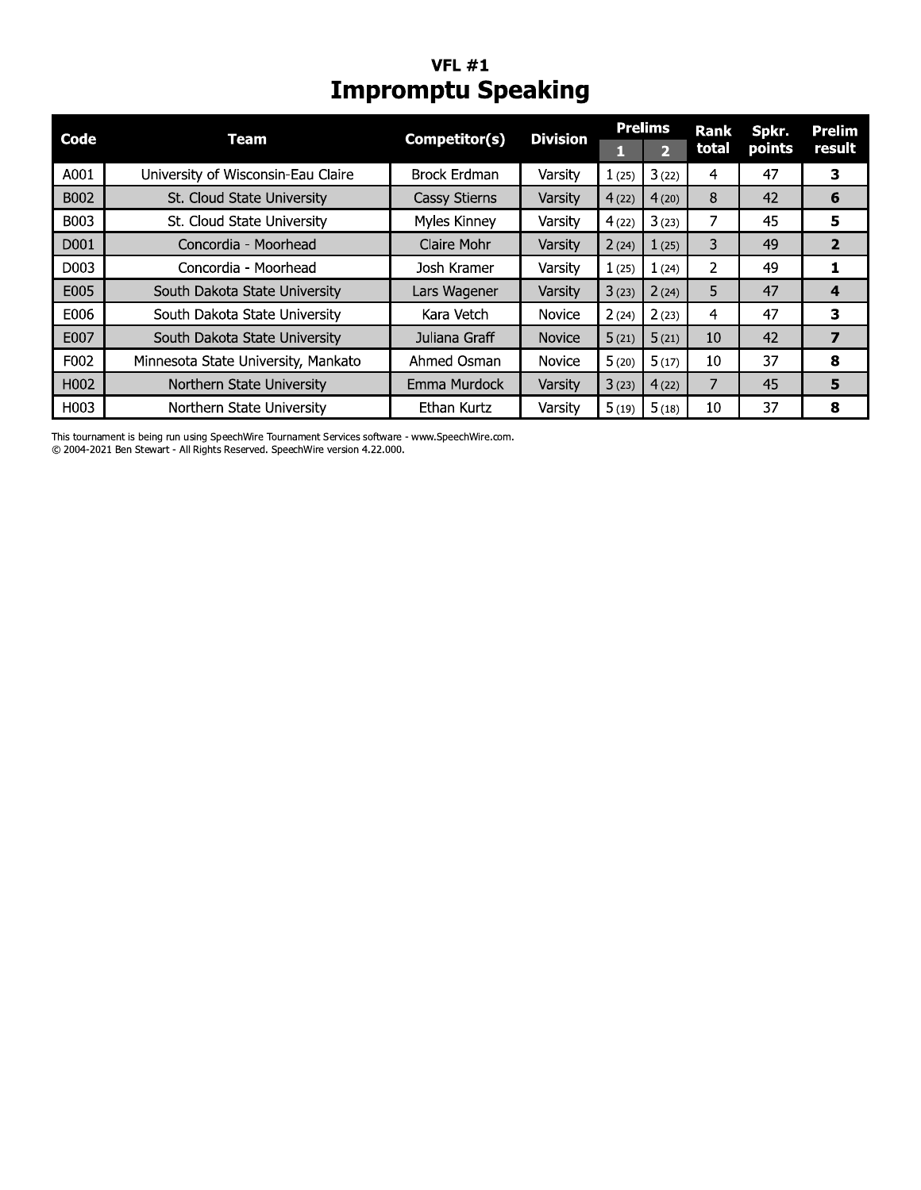# **VFL #1**<br>Impromptu Speaking

| Code              | Team                                | Competitor(s)        | <b>Division</b> |       | <b>Prelims</b> | <b>Rank</b> | Spkr.  | <b>Prelim</b> |
|-------------------|-------------------------------------|----------------------|-----------------|-------|----------------|-------------|--------|---------------|
|                   |                                     |                      |                 |       | $\overline{2}$ | total       | points | result        |
| A001              | University of Wisconsin-Eau Claire  | <b>Brock Erdman</b>  | Varsity         | 1(25) | 3(22)          | 4           | 47     | 3             |
| B002              | St. Cloud State University          | <b>Cassy Stierns</b> | Varsity         | 4(22) | 4(20)          | 8           | 42     | 6             |
| B003              | St. Cloud State University          | Myles Kinney         | Varsity         | 4(22) | 3(23)          | 7           | 45     | 5             |
| D001              | Concordia - Moorhead                | Claire Mohr          | Varsity         | 2(24) | 1(25)          | 3           | 49     | 2             |
| D <sub>00</sub> 3 | Concordia - Moorhead                | Josh Kramer          | Varsity         | 1(25) | 1(24)          | 2           | 49     |               |
| E005              | South Dakota State University       | Lars Wagener         | Varsity         | 3(23) | 2(24)          | 5           | 47     | 4             |
| E006              | South Dakota State University       | Kara Vetch           | <b>Novice</b>   | 2(24) | 2(23)          | 4           | 47     | з             |
| E007              | South Dakota State University       | Juliana Graff        | <b>Novice</b>   | 5(21) | 5(21)          | 10          | 42     | 7             |
| F002              | Minnesota State University, Mankato | Ahmed Osman          | <b>Novice</b>   | 5(20) | 5(17)          | 10          | 37     | 8             |
| H002              | Northern State University           | Emma Murdock         | Varsity         | 3(23) | 4(22)          | 7           | 45     | 5             |
| H003              | Northern State University           | Ethan Kurtz          | Varsity         | 5(19) | 5(18)          | 10          | 37     | 8             |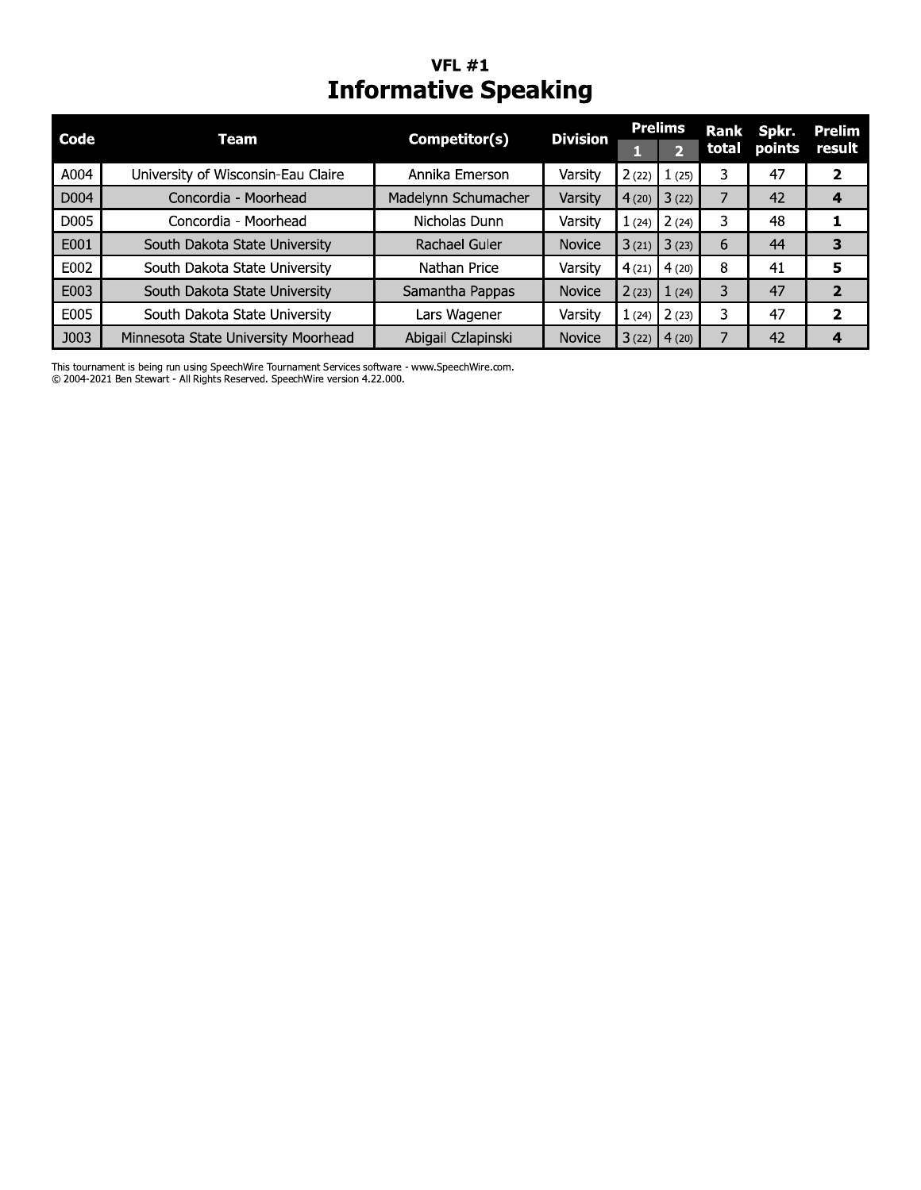# **VFL #1**<br>Informative Speaking

| Code | Team                                | Competitor(s)       | <b>Division</b> |       | <b>Prelims</b> | Rank  | Spkr.  | <b>Prelim</b>           |
|------|-------------------------------------|---------------------|-----------------|-------|----------------|-------|--------|-------------------------|
|      |                                     |                     |                 |       | 61             | total | points | result                  |
| A004 | University of Wisconsin-Eau Claire  | Annika Emerson      | Varsity         | 2(22) | 1(25)          | 3     | 47     | 2                       |
| D004 | Concordia - Moorhead                | Madelynn Schumacher | Varsity         | 4(20) | 3(22)          | 7     | 42     |                         |
| D005 | Concordia - Moorhead                | Nicholas Dunn       | Varsity         | (24)  | 2(24)          | 3     | 48     |                         |
| E001 | South Dakota State University       | Rachael Guler       | <b>Novice</b>   | 3(21) | 3(23)          | 6     | 44     | 3                       |
| E002 | South Dakota State University       | Nathan Price        | Varsity         | 4(21) | 4(20)          | 8     | 41     | 5                       |
| E003 | South Dakota State University       | Samantha Pappas     | <b>Novice</b>   | 2(23) | 1(24)          | 3     | 47     | $\overline{2}$          |
| E005 | South Dakota State University       | Lars Wagener        | Varsity         | (24)  | 2(23)          | 3     | 47     | $\overline{\mathbf{z}}$ |
| J003 | Minnesota State University Moorhead | Abigail Czlapinski  | <b>Novice</b>   | 3(22) | 4(20)          | 7     | 42     |                         |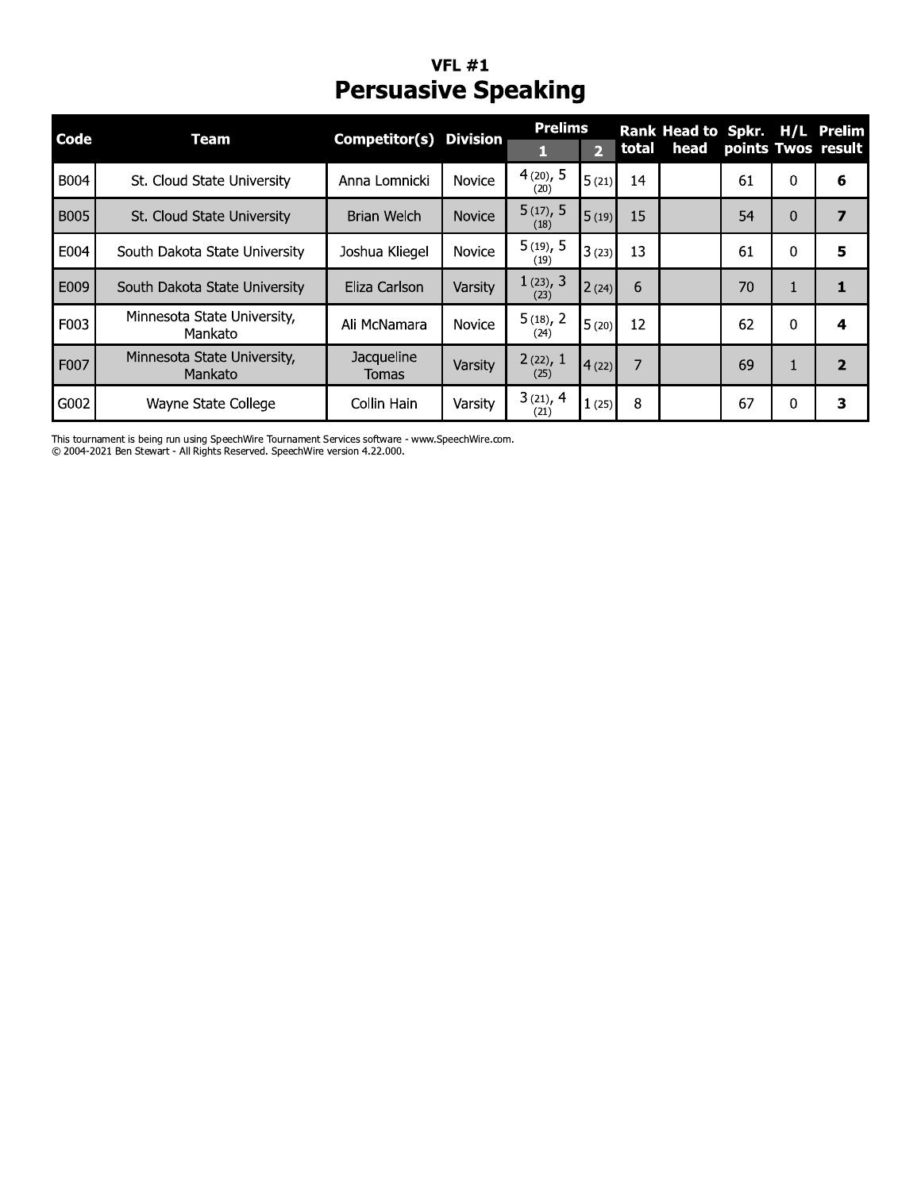### VFL  $\#1$ Persuasive Speaking

| Code | <b>Team</b>                            | <b>Competitor(s) Division</b> |               | <b>Prelims</b><br>1 | $\overline{2}$ | total          | Rank Head to Spkr. H/L Prelim<br>head | points Twos result |          |                |
|------|----------------------------------------|-------------------------------|---------------|---------------------|----------------|----------------|---------------------------------------|--------------------|----------|----------------|
| B004 | St. Cloud State University             | Anna Lomnicki                 | <b>Novice</b> | 4(20), 5<br>(20)    | 5(21)          | 14             |                                       | 61                 | 0        | 6              |
| B005 | St. Cloud State University             | Brian Welch                   | <b>Novice</b> | 5(17), 5<br>(18)    | 5(19)          | 15             |                                       | 54                 | 0        | $\overline{ }$ |
| E004 | South Dakota State University          | Joshua Kliegel                | Novice        | $5(19)$ , 5<br>(19) | 3(23)          | 13             |                                       | 61                 | 0        | 5              |
| E009 | South Dakota State University          | Eliza Carlson                 | Varsity       | 1(23), 3<br>(23)    | 2(24)          | 6              |                                       | 70                 | 1        | 1              |
| F003 | Minnesota State University,<br>Mankato | Ali McNamara                  | Novice        | 5(18), 2<br>(24)    | 5(20)          | 12             |                                       | 62                 | $\Omega$ | 4              |
| F007 | Minnesota State University,<br>Mankato | Jacqueline<br><b>Tomas</b>    | Varsity       | 2(22), 1<br>(25)    | 4(22)          | $\overline{7}$ |                                       | 69                 | 1        | $\overline{2}$ |
| G002 | Wayne State College                    | Collin Hain                   | Varsity       | 3(21), 4<br>(21)    | 1(25)          | 8              |                                       | 67                 | 0        | з              |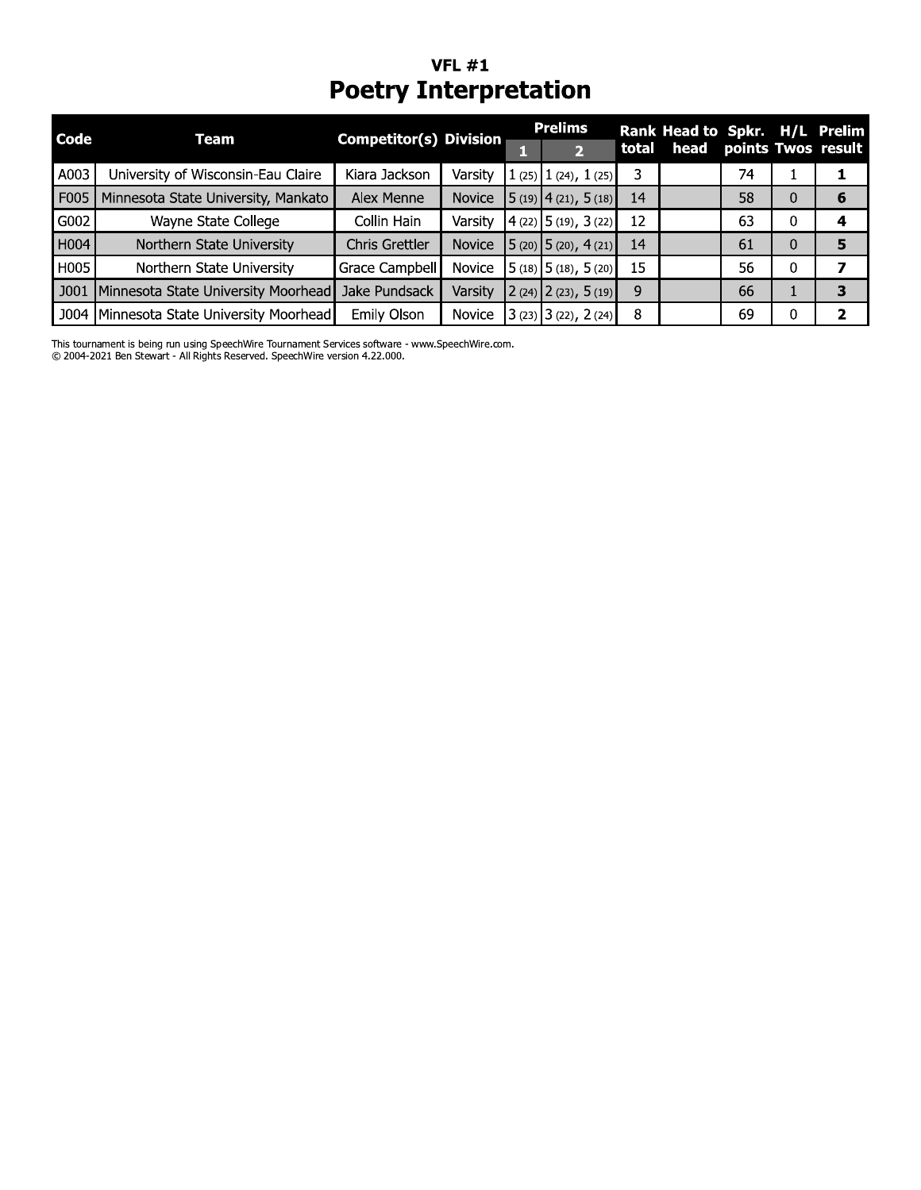# VFL #1<br>Poetry Interpretation

 $\mathbb{R}$ 

|      |                                     | . oct. , anterpretation       |               |                                                   |       |                               |    |          |                    |
|------|-------------------------------------|-------------------------------|---------------|---------------------------------------------------|-------|-------------------------------|----|----------|--------------------|
| Code | Team                                | <b>Competitor(s) Division</b> |               | <b>Prelims</b>                                    |       | Rank Head to Spkr. H/L Prelim |    |          |                    |
|      |                                     |                               |               | 2                                                 | total | head                          |    |          | points Twos result |
| A003 | University of Wisconsin-Eau Claire  | Kiara Jackson                 | Varsity       | $1(25)$ $1(24)$ , $1(25)$                         | 3     |                               | 74 |          |                    |
| F005 | Minnesota State University, Mankato | Alex Menne                    | <b>Novice</b> | $\left[5(19)\right]$ 4 (21), $\left[5(18)\right]$ | 14    |                               | 58 | 0        | 6                  |
| G002 | Wayne State College                 | Collin Hain                   | Varsity       | (4(22) 5(19), 3(22)                               | 12    |                               | 63 | 0        |                    |
| H004 | Northern State University           | Chris Grettler                | Novice        | $5(20)$ 5 (20), 4 (21)                            | 14    |                               | 61 | $\Omega$ | 5                  |
| H005 | Northern State University           | Grace Campbell                | Novice        | $5(18)$ 5 (18), 5 (20)                            | 15    |                               | 56 | 0        |                    |
| J001 | Minnesota State University Moorhead | Jake Pundsack                 | Varsity       | $2(24)$ $2(23)$ , $5(19)$                         | 9     |                               | 66 | T.       | 3                  |
| J004 | Minnesota State University Moorhead | Emily Olson                   | <b>Novice</b> | $3(23)$ $3(22)$ , 2(24)                           | 8     |                               | 69 | 0        | 2                  |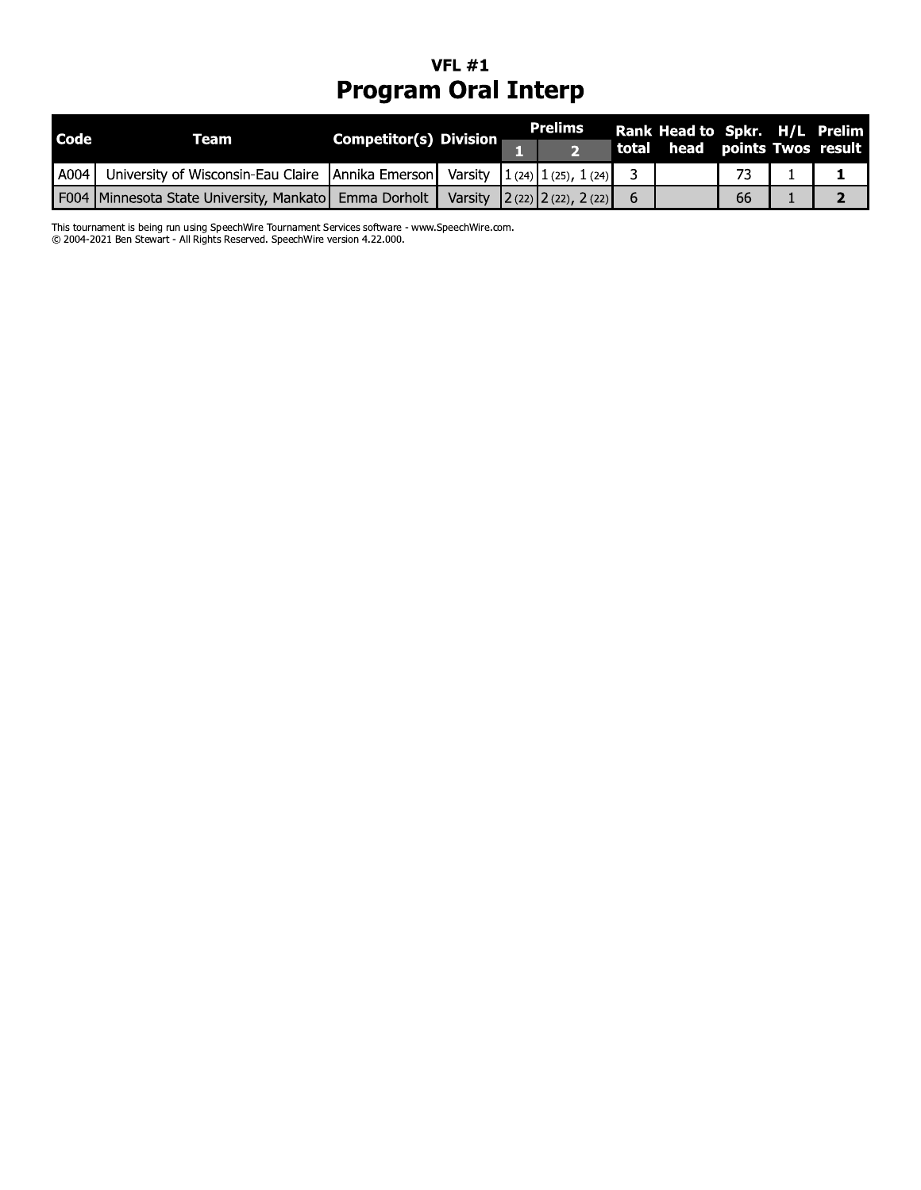### VFL  $\#1$ Program Oral Interp

|      |                                                       | <b>Program Oral Interp</b>    | <b>VFL #1</b> |                                           |       |                                                          |    |   |
|------|-------------------------------------------------------|-------------------------------|---------------|-------------------------------------------|-------|----------------------------------------------------------|----|---|
| Code | <b>Team</b>                                           | <b>Competitor(s) Division</b> |               | <b>Prelims</b><br>$\overline{\mathbf{2}}$ | total | Rank Head to Spkr. H/L Prelim<br>head points Twos result |    |   |
| A004 | University of Wisconsin-Eau Claire                    | Annika Emerson                | Varsity       | $1(24)$ $1(25)$ , $1(24)$                 | 3     |                                                          | 73 |   |
|      | F004 Minnesota State University, Mankato Emma Dorholt |                               | Varsity       | $2(22)$ $2(22)$ , $2(22)$                 | 6     |                                                          | 66 | 2 |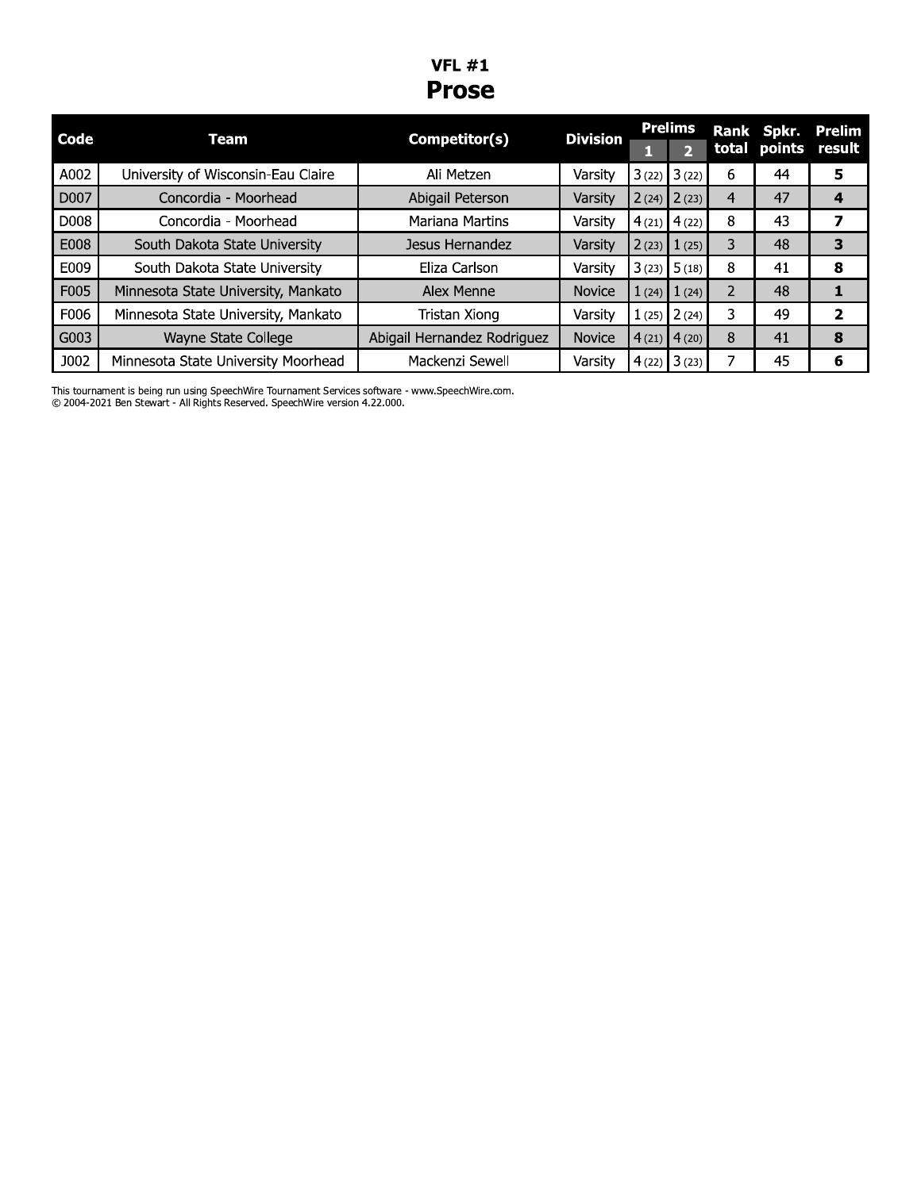#### **VFL**  $#1$ **Prose**

| Code        | Team                                | Competitor(s)               | <b>Division</b> |       | <b>Prelims</b>  |                | Rank Spkr.          | Prelim |
|-------------|-------------------------------------|-----------------------------|-----------------|-------|-----------------|----------------|---------------------|--------|
|             |                                     |                             |                 |       | D               |                | total points result |        |
| A002        | University of Wisconsin-Eau Claire  | Ali Metzen                  | Varsity         |       | $3(22)$ $3(22)$ | 6              | 44                  | 5      |
| D007        | Concordia - Moorhead                | Abigail Peterson            | Varsity         |       | $2(24)$ $2(23)$ | $\overline{4}$ | 47                  | 4      |
| D008        | Concordia - Moorhead                | <b>Mariana Martins</b>      | Varsity         |       | $4(21)$ $4(22)$ | 8              | 43                  |        |
| E008        | South Dakota State University       | Jesus Hernandez             | Varsity         | 2(23) | 1(25)           | 3              | 48                  | 3      |
| E009        | South Dakota State University       | Eliza Carlson               | Varsity         | 3(23) | 5(18)           | 8              | 41                  | 8      |
| F005        | Minnesota State University, Mankato | Alex Menne                  | <b>Novice</b>   | 1(24) | 1(24)           | 2              | 48                  |        |
| F006        | Minnesota State University, Mankato | Tristan Xiong               | Varsity         | 1(25) | 2(24)           | 3              | 49                  | 2      |
| G003        | Wayne State College                 | Abigail Hernandez Rodriguez | <b>Novice</b>   |       | $4(21)$ $4(20)$ | 8              | 41                  | 8      |
| <b>J002</b> | Minnesota State University Moorhead | Mackenzi Sewell             | Varsity         |       | $4(22)$ 3 (23)  | 7              | 45                  | 6      |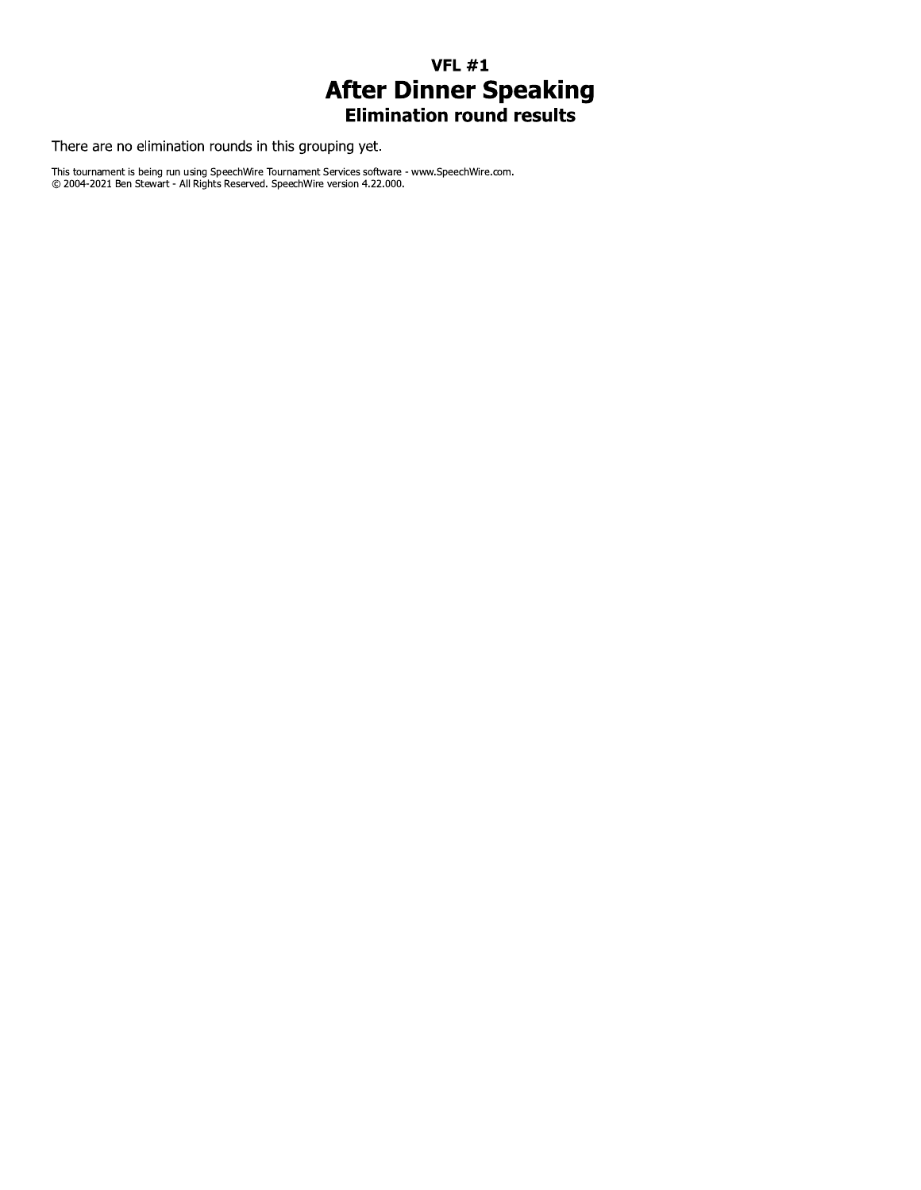## $VFL #1$ **After Dinner Speaking**<br>Elimination round results

There are no elimination rounds in this grouping yet.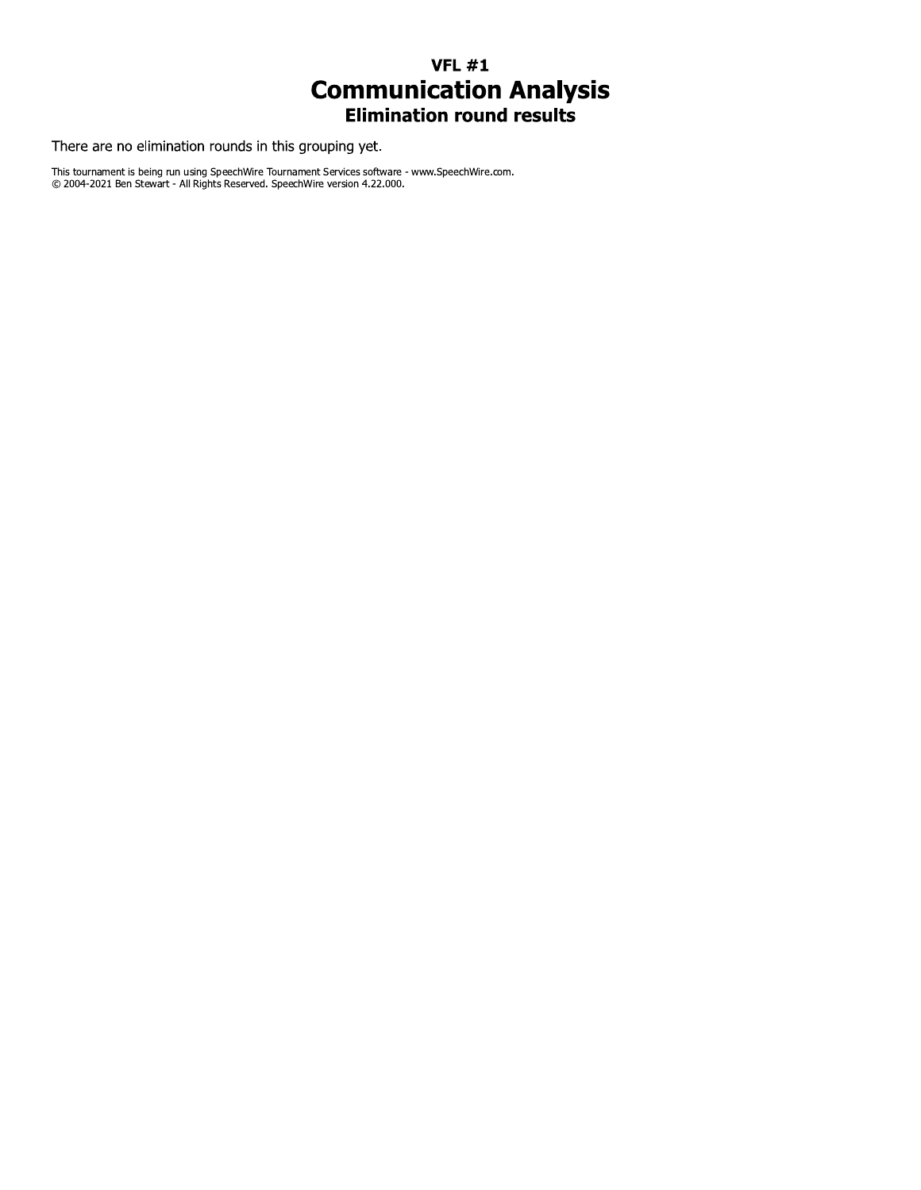## VFL  $\#1$ **Communication Analysis**<br>Elimination round results

There are no elimination rounds in this grouping yet.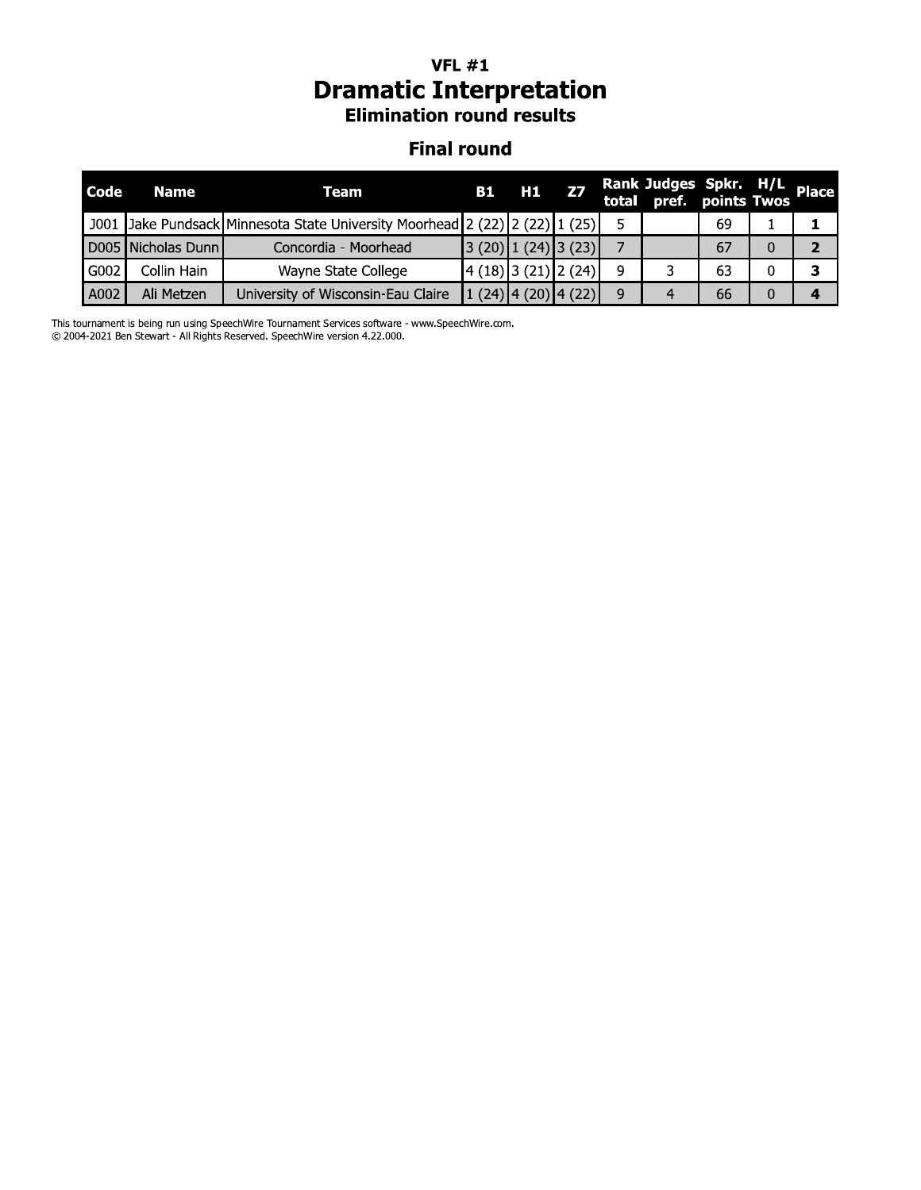#### VFL  $\#1$ *Dramatic Interpretation* **Elimination round results**

#### Finai round

| <b>Dramatic Interpretation</b><br><b>Elimination round results</b> |               |                                                                 |           |                |                       |       |                       |                   |   |              |
|--------------------------------------------------------------------|---------------|-----------------------------------------------------------------|-----------|----------------|-----------------------|-------|-----------------------|-------------------|---|--------------|
| <b>Final round</b>                                                 |               |                                                                 |           |                |                       |       |                       |                   |   |              |
| Code                                                               | <b>Name</b>   | <b>Team</b>                                                     | <b>B1</b> | H1             | <b>Z7</b>             | total | Rank Judges Spkr. H/L | pref. points Twos |   | <b>Place</b> |
| J001                                                               |               | Jake Pundsack Minnesota State University Moorhead 2 (22) 2 (22) |           |                | (25)                  | 5     |                       | 69                |   |              |
| D <sub>005</sub>                                                   | Nicholas Dunn | Concordia - Moorhead                                            | 3(20)     | (24)           | (3(23))               | 7     |                       | 67                | 0 | 2            |
| G002                                                               | Collin Hain   | Wayne State College                                             |           | $4(18)$ 3 (21) | 2(24)                 | 9     | 3                     | 63                |   | з            |
| A002                                                               | Ali Metzen    | University of Wisconsin-Eau Claire                              |           |                | $1(24)$ 4 (20) 4 (22) | 9     | 4                     | 66                | 0 | $\bullet$    |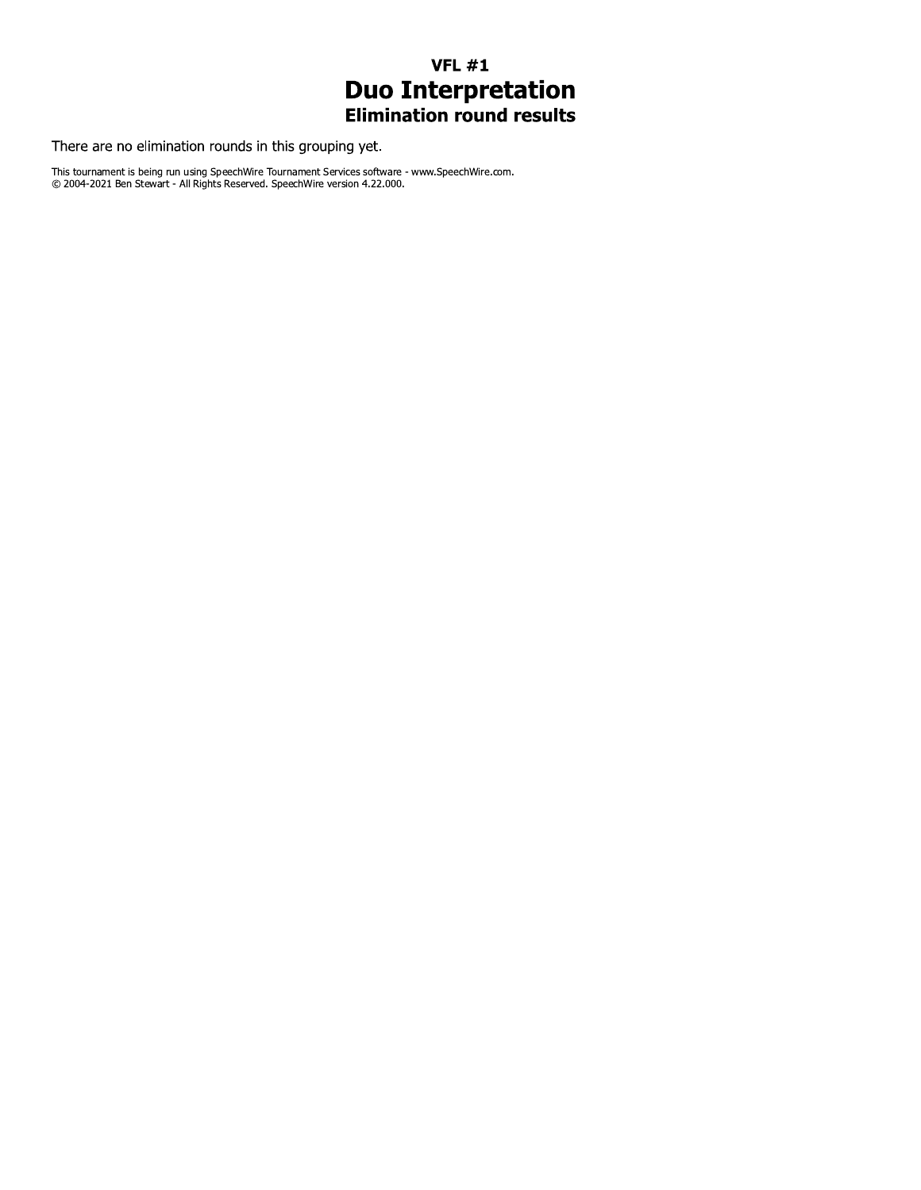## $VFL #1$ **Duo Interpretation**<br>Elimination round results

There are no elimination rounds in this grouping yet.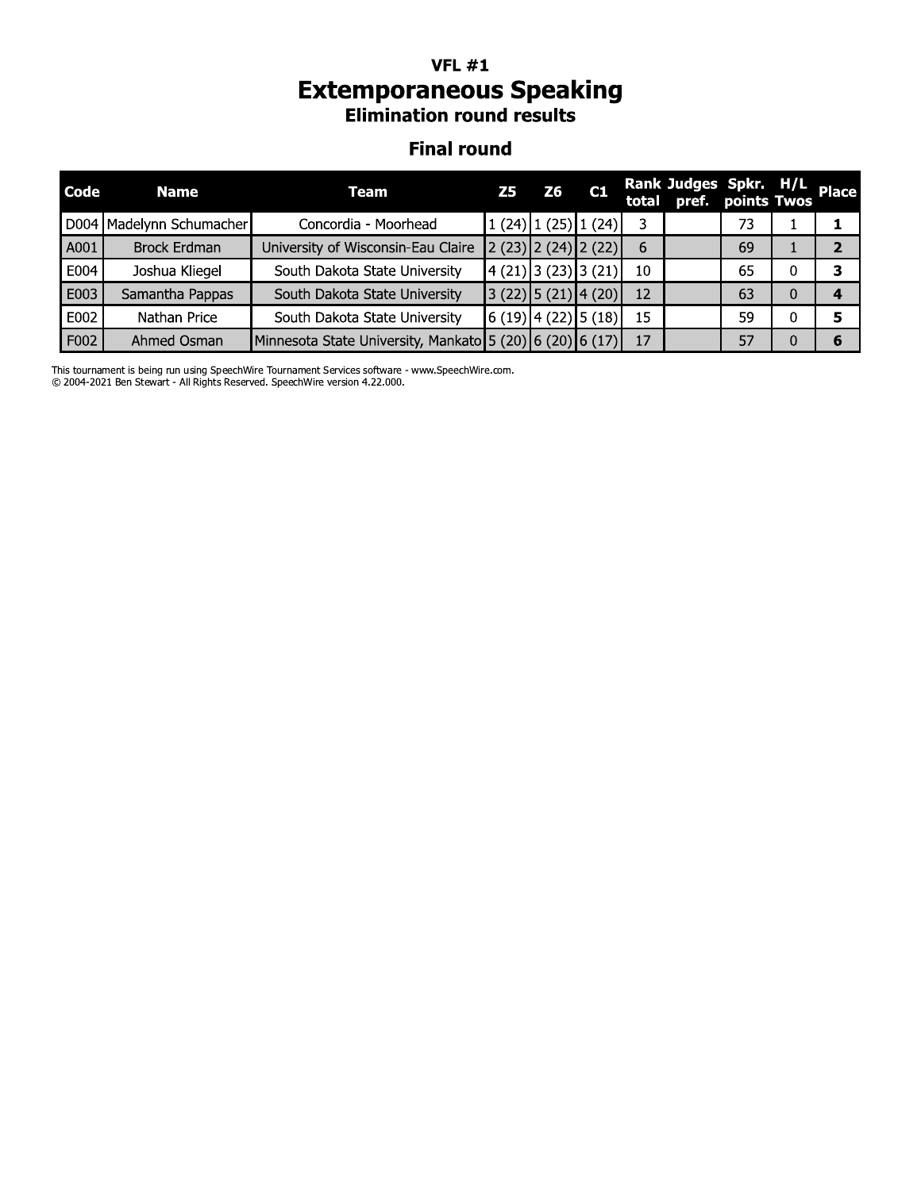## **VFL**  $#1$ **Extemporaneous Speaking**<br>Elimination round results

#### **Final round**

| Code | <b>Name</b>              | Team                                                     | Z5                 | Z6 | C1                      |    | Rank Judges Spkr. H/L<br>total pref. points Twos |    |   |   |
|------|--------------------------|----------------------------------------------------------|--------------------|----|-------------------------|----|--------------------------------------------------|----|---|---|
|      | D004 Madelynn Schumacher | Concordia - Moorhead                                     |                    |    | $1(24)$ $1(25)$ $1(24)$ |    |                                                  | 73 |   |   |
| A001 | <b>Brock Erdman</b>      | University of Wisconsin-Eau Claire                       |                    |    | $2(23)$ $2(24)$ $2(22)$ | 6  |                                                  | 69 |   |   |
| E004 | Joshua Kliegel           | South Dakota State University                            |                    |    | 4(21) 3(23) 3(21)       | 10 |                                                  | 65 | 0 | 3 |
| E003 | Samantha Pappas          | South Dakota State University                            |                    |    | $3(22)$ 5 (21) 4 (20)   | 12 |                                                  | 63 | 0 | 4 |
| E002 | Nathan Price             | South Dakota State University                            | (6(19) 4(22) 5(18) |    |                         | 15 |                                                  | 59 | 0 | 5 |
| F002 | Ahmed Osman              | Minnesota State University, Mankato 5 (20) 6 (20) 6 (17) |                    |    |                         | 17 |                                                  | 57 | 0 | 6 |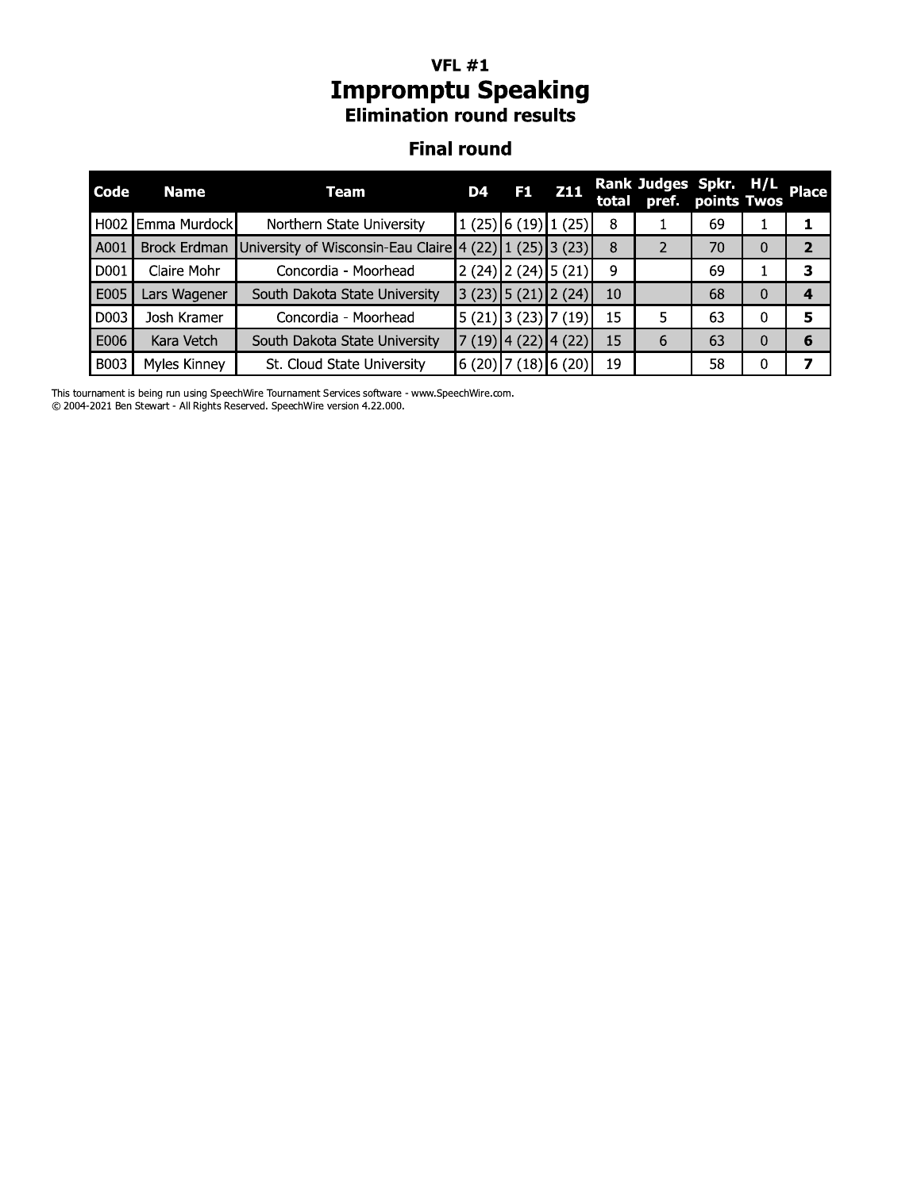#### VFL  $\#1$ **Impromptu Speaking Elimination round results**

#### Finai round

|                    | <b>VFL #1</b><br><b>Impromptu Speaking</b><br><b>Elimination round results</b> |                                                         |    |                         |            |    |                                                  |             |   |                |  |
|--------------------|--------------------------------------------------------------------------------|---------------------------------------------------------|----|-------------------------|------------|----|--------------------------------------------------|-------------|---|----------------|--|
| <b>Final round</b> |                                                                                |                                                         |    |                         |            |    |                                                  |             |   |                |  |
| Code               | <b>Name</b>                                                                    | Team                                                    | D4 | F <sub>1</sub>          | <b>Z11</b> |    | Rank Judges Spkr. H/L<br>total pref. points Twos | points Twos |   | <b>Place</b>   |  |
|                    | H002 Emma Murdock                                                              | Northern State University                               |    | $1(25)$ 6 (19) 1 (25)   |            | 8  |                                                  | 69          |   | 1              |  |
| A001               | Brock Erdman                                                                   | University of Wisconsin-Eau Claire 4 (22) 1 (25) 3 (23) |    |                         |            | 8  | $\overline{2}$                                   | 70          | 0 | $\overline{2}$ |  |
| D001               | Claire Mohr                                                                    | Concordia - Moorhead                                    |    | $2(24)$ $2(24)$ $5(21)$ |            | 9  |                                                  | 69          |   | 3              |  |
| E005               | Lars Wagener                                                                   | South Dakota State University                           |    | $3(23)$ 5 (21) 2 (24)   |            | 10 |                                                  | 68          | 0 | 4              |  |
| D003               | Josh Kramer                                                                    | Concordia - Moorhead                                    |    | $5(21)$ 3 (23) 7 (19)   |            | 15 | 5.                                               | 63          | 0 | 5              |  |
| E006               | Kara Vetch                                                                     | South Dakota State University                           |    | $7(19)$ 4 (22) 4 (22)   |            | 15 | 6                                                | 63          | 0 | 6              |  |
| <b>B003</b>        | Myles Kinney                                                                   | St. Cloud State University                              |    | $6(20)$ 7 (18) 6 (20)   |            | 19 |                                                  | 58          | 0 | 7              |  |

This tournament is being run using speechwire Tournament Services software - www.speechwire.com.

@ 2004-2021 Ben Stewart - All Rights Reserved. Speechwire version 4.22.000.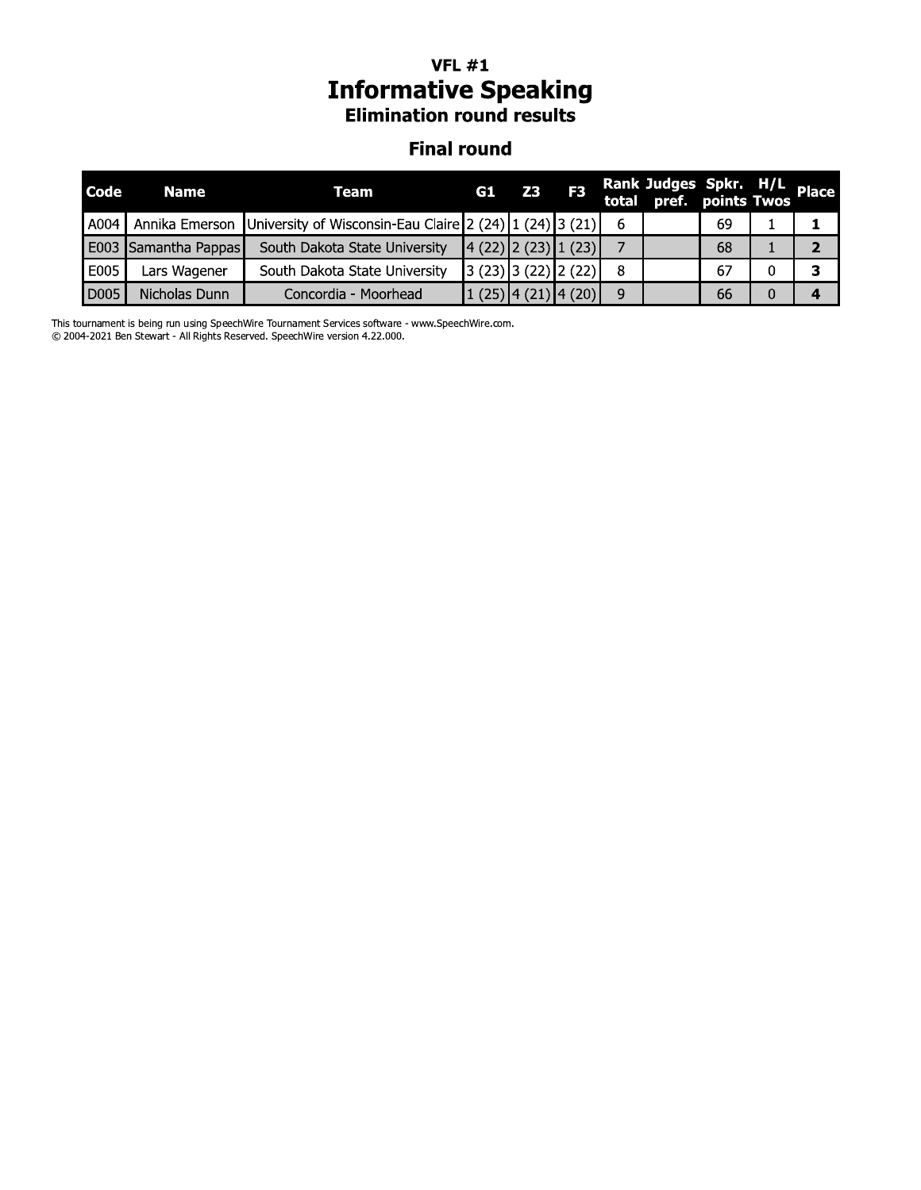## **VFL**  $#1$ **Informative Speaking**<br>Elimination round results

#### **Final round**

| <b>Code</b> | <b>Name</b>          | Team                                                                                  | G1                                                                  | Z3 | F <sub>3</sub> | Rank Judges Spkr. H/L<br>total pref. points Twos |    |  |
|-------------|----------------------|---------------------------------------------------------------------------------------|---------------------------------------------------------------------|----|----------------|--------------------------------------------------|----|--|
| A004        | Annika Emerson       | University of Wisconsin-Eau Claire 2 (24) $\left[1\right]$ (24) $\left[3\right]$ (21) |                                                                     |    |                |                                                  | 69 |  |
|             | E003 Samantha Pappas | South Dakota State University                                                         | $\left  \frac{4(22)}{2(23)} \right  \left  \frac{1(23)}{2} \right $ |    |                |                                                  | 68 |  |
| E005        | Lars Wagener         | South Dakota State University                                                         | 3(23)3(22)2(22)                                                     |    |                |                                                  | 67 |  |
| D005        | Nicholas Dunn        | Concordia - Moorhead                                                                  | $\left  \frac{1(25)}{4(21)} \right $ (20)                           |    |                |                                                  | 66 |  |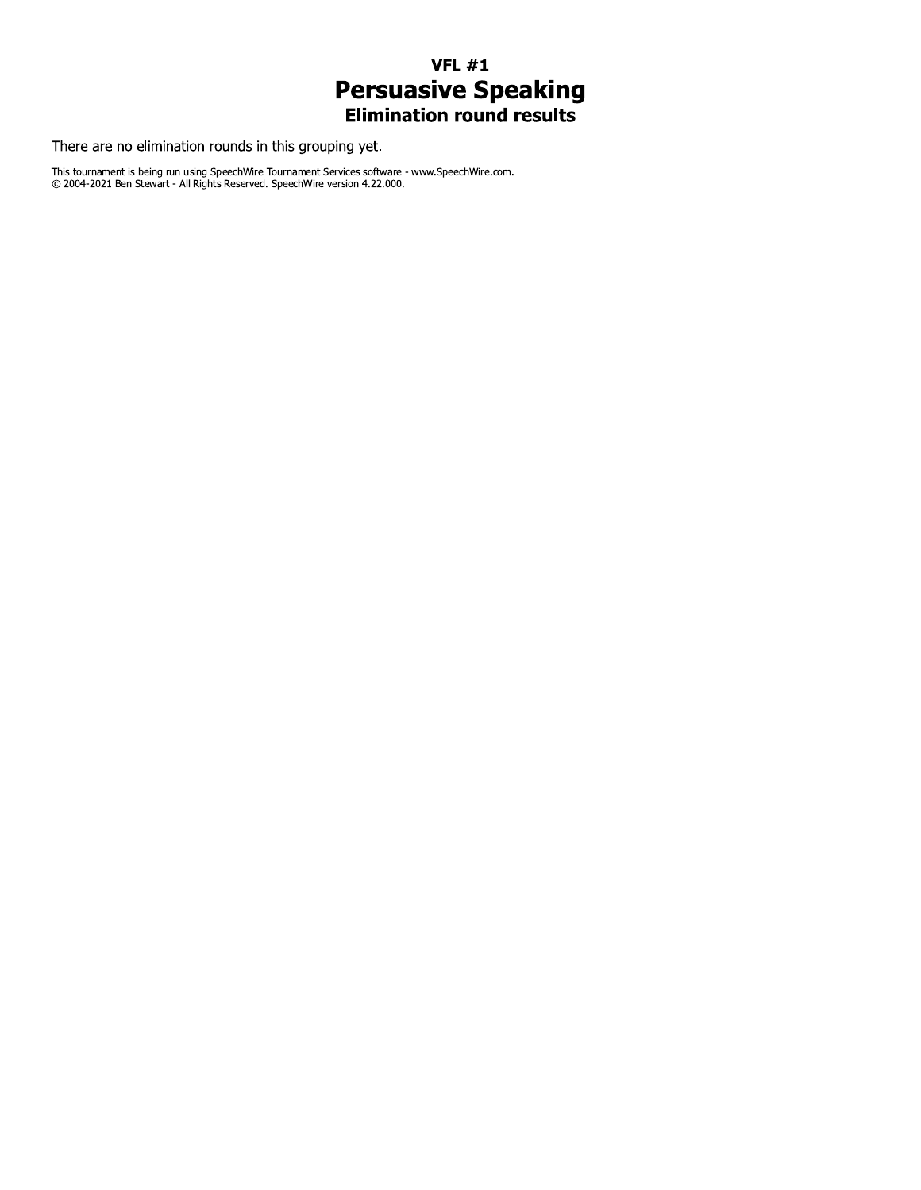## $VFL #1$ **Persuasive Speaking**<br>Elimination round results

There are no elimination rounds in this grouping yet.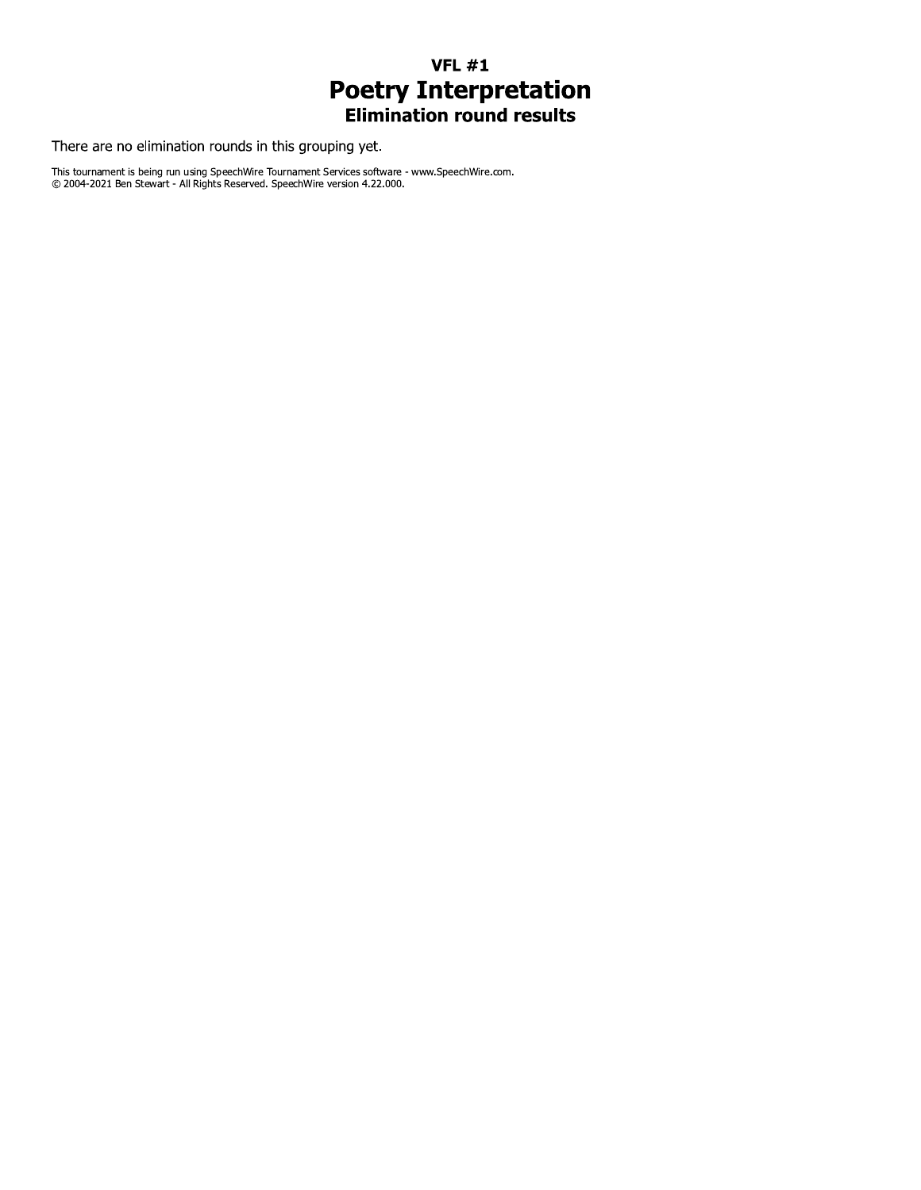## $VFL #1$ **Poetry Interpretation**<br>Elimination round results

There are no elimination rounds in this grouping yet.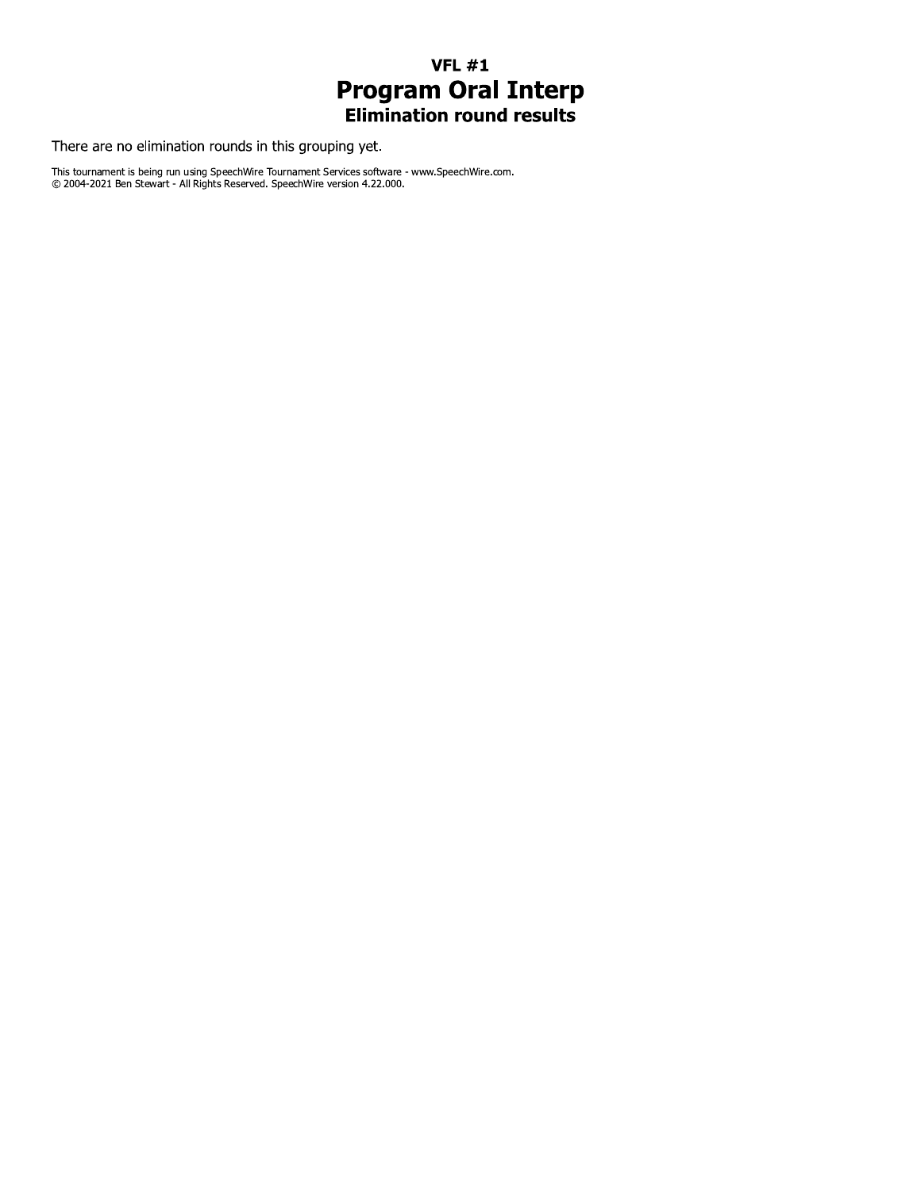### **VFL #1 Program Oral Interp**<br>Elimination round results

There are no elimination rounds in this grouping yet.